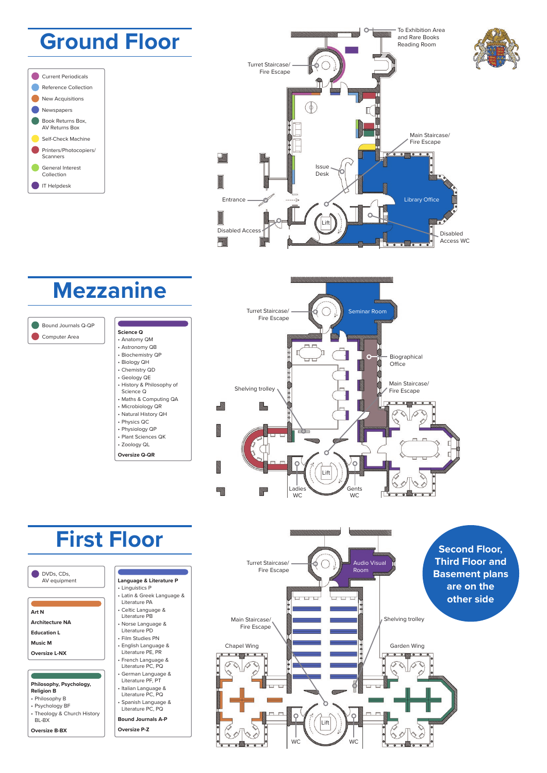





## **Mezzanine**



• Anatomy QM • Astronomy QB • Biochemistry QP • Biology QH • Chemistry QD • Geology QE • History & Philosophy of Science Q • Maths & Computing QA • Microbiology QR • Natural History QH • Physics QC • Physiology QP • Plant Sciences QK • Zoology QL **Oversize Q-QR**





# **First Floor**

DVDs, CDs, AV equipment

**Art N**

**Architecture NA**

- **Education L**
- **Music M**
- **Oversize L-NX**

**Philosophy, Psychology,** 

#### **Religion B** • Philosophy B

• Psychology BF • Theology & Church History

BL-BX

**Oversize B-BX**